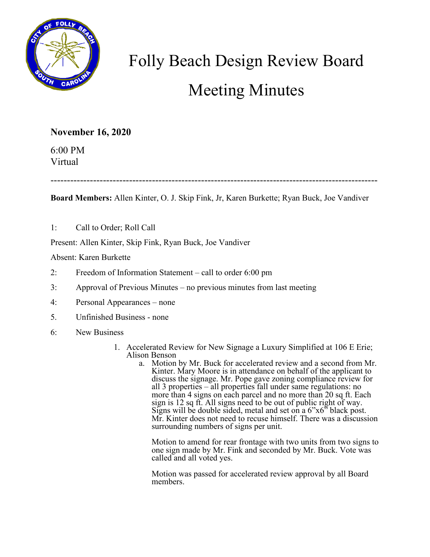

## Folly Beach Design Review Board Meeting Minutes

## **November 16, 2020**

6:00 PM Virtual

----------------------------------------------------------------------------------------------------

**Board Members:** Allen Kinter, O. J. Skip Fink, Jr, Karen Burkette; Ryan Buck, Joe Vandiver

1: Call to Order; Roll Call

Present: Allen Kinter, Skip Fink, Ryan Buck, Joe Vandiver

Absent: Karen Burkette

- 2: Freedom of Information Statement call to order 6:00 pm
- 3: Approval of Previous Minutes no previous minutes from last meeting
- 4: Personal Appearances none
- 5. Unfinished Business none
- 6: New Business
	- 1. Accelerated Review for New Signage a Luxury Simplified at 106 E Erie; Alison Benson
		- a. Motion by Mr. Buck for accelerated review and a second from Mr. Kinter. Mary Moore is in attendance on behalf of the applicant to discuss the signage. Mr. Pope gave zoning compliance review for all 3 properties – all properties fall under same regulations: no more than 4 signs on each parcel and no more than 20 sq ft. Each sign is 12 sq ft. All signs need to be out of public right of way. Signs will be double sided, metal and set on a 6"x6" black post.<br>Mr. Kinter does not need to recuse himself. There was a discussion surrounding numbers of signs per unit.

Motion to amend for rear frontage with two units from two signs to one sign made by Mr. Fink and seconded by Mr. Buck. Vote was called and all voted yes.

Motion was passed for accelerated review approval by all Board members.